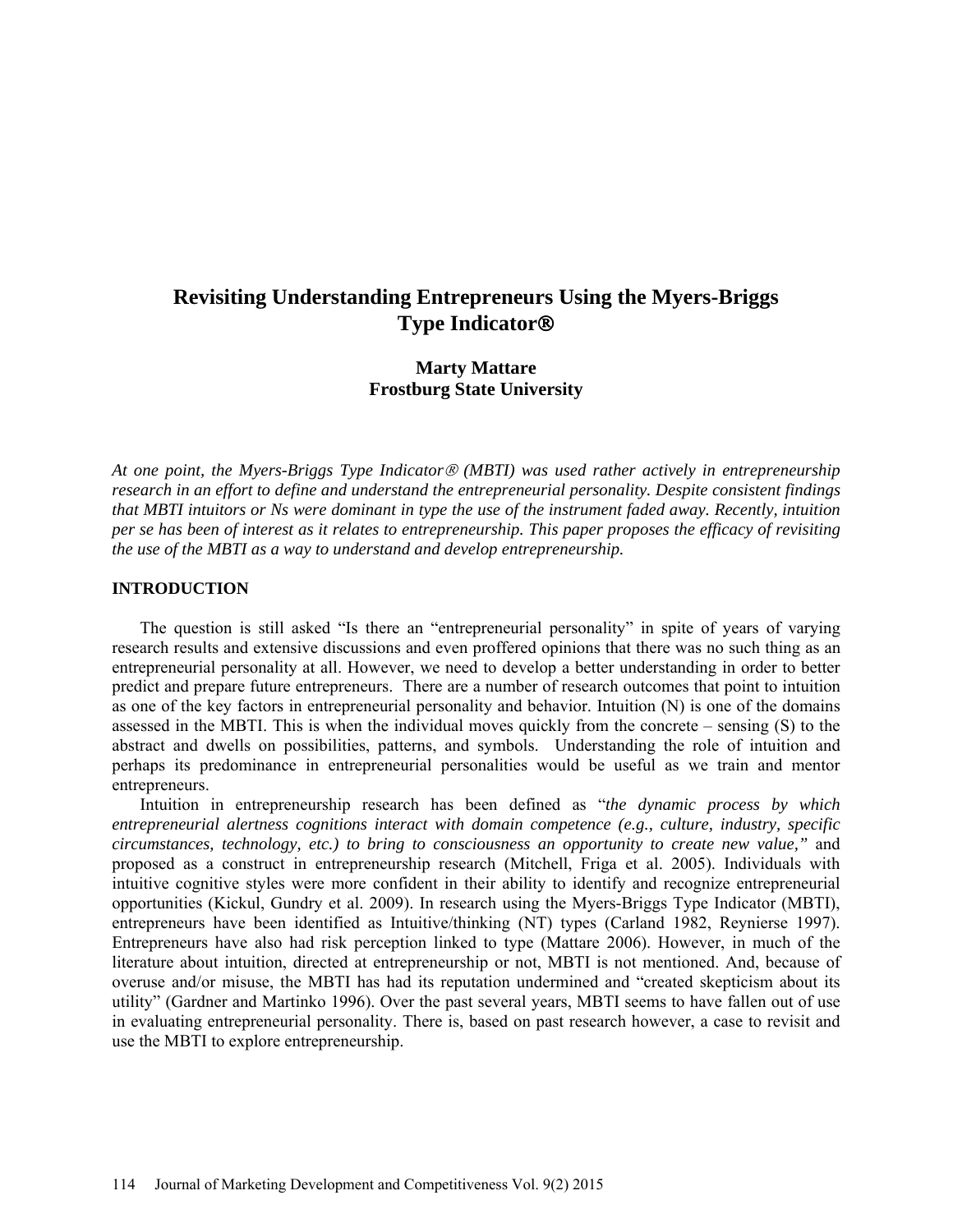# **Revisiting Understanding Entrepreneurs Using the Myers-Briggs Type Indicator**

## **Marty Mattare Frostburg State University**

*At one point, the Myers-Briggs Type Indicator (MBTI) was used rather actively in entrepreneurship research in an effort to define and understand the entrepreneurial personality. Despite consistent findings that MBTI intuitors or Ns were dominant in type the use of the instrument faded away. Recently, intuition per se has been of interest as it relates to entrepreneurship. This paper proposes the efficacy of revisiting the use of the MBTI as a way to understand and develop entrepreneurship.*

#### **INTRODUCTION**

The question is still asked "Is there an "entrepreneurial personality" in spite of years of varying research results and extensive discussions and even proffered opinions that there was no such thing as an entrepreneurial personality at all. However, we need to develop a better understanding in order to better predict and prepare future entrepreneurs. There are a number of research outcomes that point to intuition as one of the key factors in entrepreneurial personality and behavior. Intuition (N) is one of the domains assessed in the MBTI. This is when the individual moves quickly from the concrete – sensing (S) to the abstract and dwells on possibilities, patterns, and symbols. Understanding the role of intuition and perhaps its predominance in entrepreneurial personalities would be useful as we train and mentor entrepreneurs.

Intuition in entrepreneurship research has been defined as "*the dynamic process by which entrepreneurial alertness cognitions interact with domain competence (e.g., culture, industry, specific circumstances, technology, etc.) to bring to consciousness an opportunity to create new value,"* and proposed as a construct in entrepreneurship research (Mitchell, Friga et al. 2005). Individuals with intuitive cognitive styles were more confident in their ability to identify and recognize entrepreneurial opportunities (Kickul, Gundry et al. 2009). In research using the Myers-Briggs Type Indicator (MBTI), entrepreneurs have been identified as Intuitive/thinking (NT) types (Carland 1982, Reynierse 1997). Entrepreneurs have also had risk perception linked to type (Mattare 2006). However, in much of the literature about intuition, directed at entrepreneurship or not, MBTI is not mentioned. And, because of overuse and/or misuse, the MBTI has had its reputation undermined and "created skepticism about its utility" (Gardner and Martinko 1996). Over the past several years, MBTI seems to have fallen out of use in evaluating entrepreneurial personality. There is, based on past research however, a case to revisit and use the MBTI to explore entrepreneurship.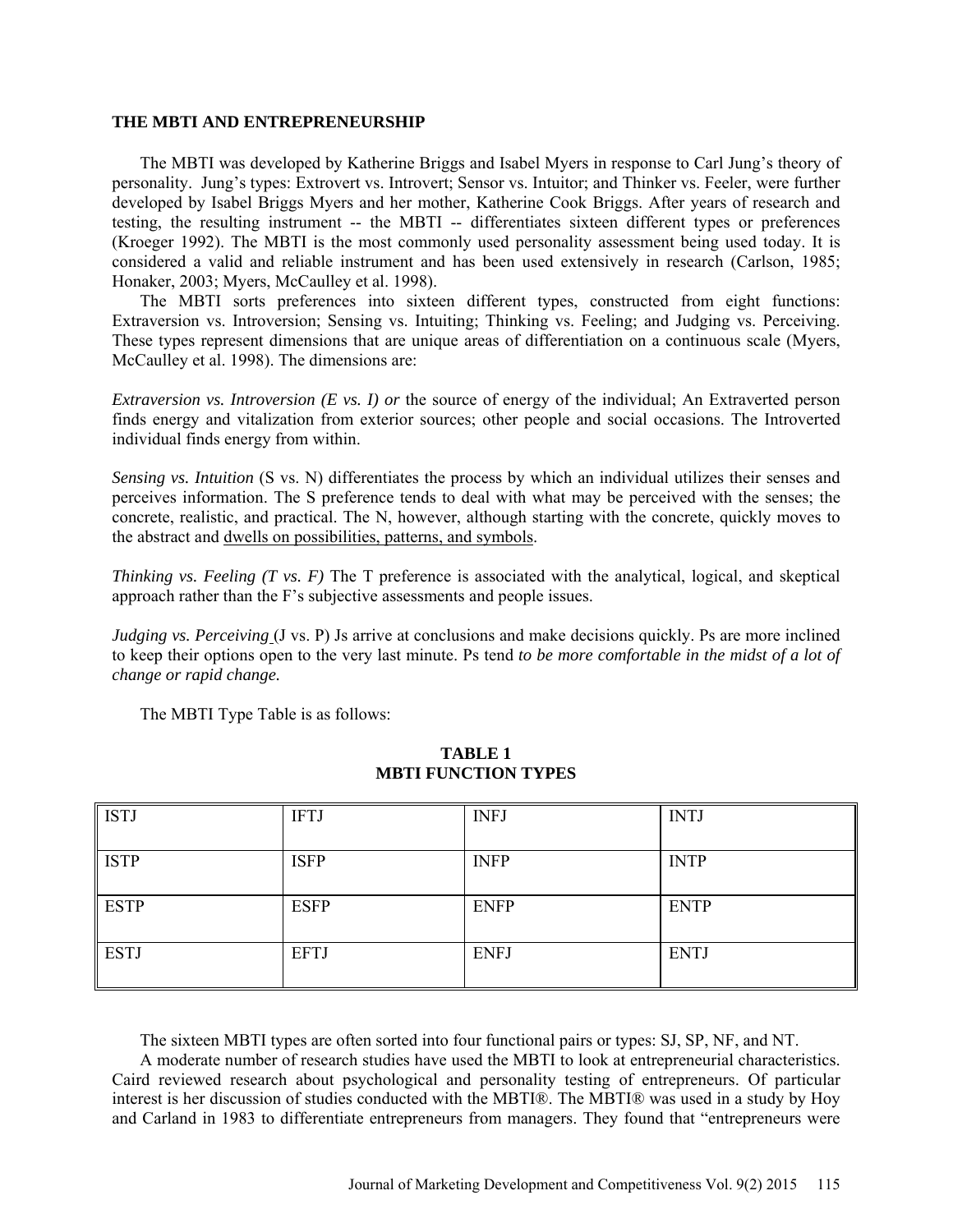#### **THE MBTI AND ENTREPRENEURSHIP**

The MBTI was developed by Katherine Briggs and Isabel Myers in response to Carl Jung's theory of personality. Jung's types: Extrovert vs. Introvert; Sensor vs. Intuitor; and Thinker vs. Feeler, were further developed by Isabel Briggs Myers and her mother, Katherine Cook Briggs. After years of research and testing, the resulting instrument -- the MBTI -- differentiates sixteen different types or preferences (Kroeger 1992). The MBTI is the most commonly used personality assessment being used today. It is considered a valid and reliable instrument and has been used extensively in research (Carlson, 1985; Honaker, 2003; Myers, McCaulley et al. 1998).

The MBTI sorts preferences into sixteen different types, constructed from eight functions: Extraversion vs. Introversion; Sensing vs. Intuiting; Thinking vs. Feeling; and Judging vs. Perceiving. These types represent dimensions that are unique areas of differentiation on a continuous scale (Myers, McCaulley et al. 1998). The dimensions are:

*Extraversion vs. Introversion (E vs. I) or* the source of energy of the individual; An Extraverted person finds energy and vitalization from exterior sources; other people and social occasions. The Introverted individual finds energy from within.

*Sensing vs. Intuition* (S vs. N) differentiates the process by which an individual utilizes their senses and perceives information. The S preference tends to deal with what may be perceived with the senses; the concrete, realistic, and practical. The N, however, although starting with the concrete, quickly moves to the abstract and dwells on possibilities, patterns, and symbols.

*Thinking vs. Feeling (T vs. F)* The T preference is associated with the analytical, logical, and skeptical approach rather than the F's subjective assessments and people issues.

*Judging vs. Perceiving* (J vs. P) Js arrive at conclusions and make decisions quickly. Ps are more inclined to keep their options open to the very last minute. Ps tend *to be more comfortable in the midst of a lot of change or rapid change.*

The MBTI Type Table is as follows:

| <b>ISTJ</b> | <b>IFTJ</b> | <b>INFJ</b> | <b>INTJ</b> |
|-------------|-------------|-------------|-------------|
| <b>ISTP</b> | <b>ISFP</b> | <b>INFP</b> | <b>INTP</b> |
| <b>ESTP</b> | <b>ESFP</b> | <b>ENFP</b> | <b>ENTP</b> |
| <b>ESTJ</b> | <b>EFTJ</b> | <b>ENFJ</b> | <b>ENTJ</b> |

### **TABLE 1 MBTI FUNCTION TYPES**

The sixteen MBTI types are often sorted into four functional pairs or types: SJ, SP, NF, and NT.

A moderate number of research studies have used the MBTI to look at entrepreneurial characteristics. Caird reviewed research about psychological and personality testing of entrepreneurs. Of particular interest is her discussion of studies conducted with the MBTI®. The MBTI® was used in a study by Hoy and Carland in 1983 to differentiate entrepreneurs from managers. They found that "entrepreneurs were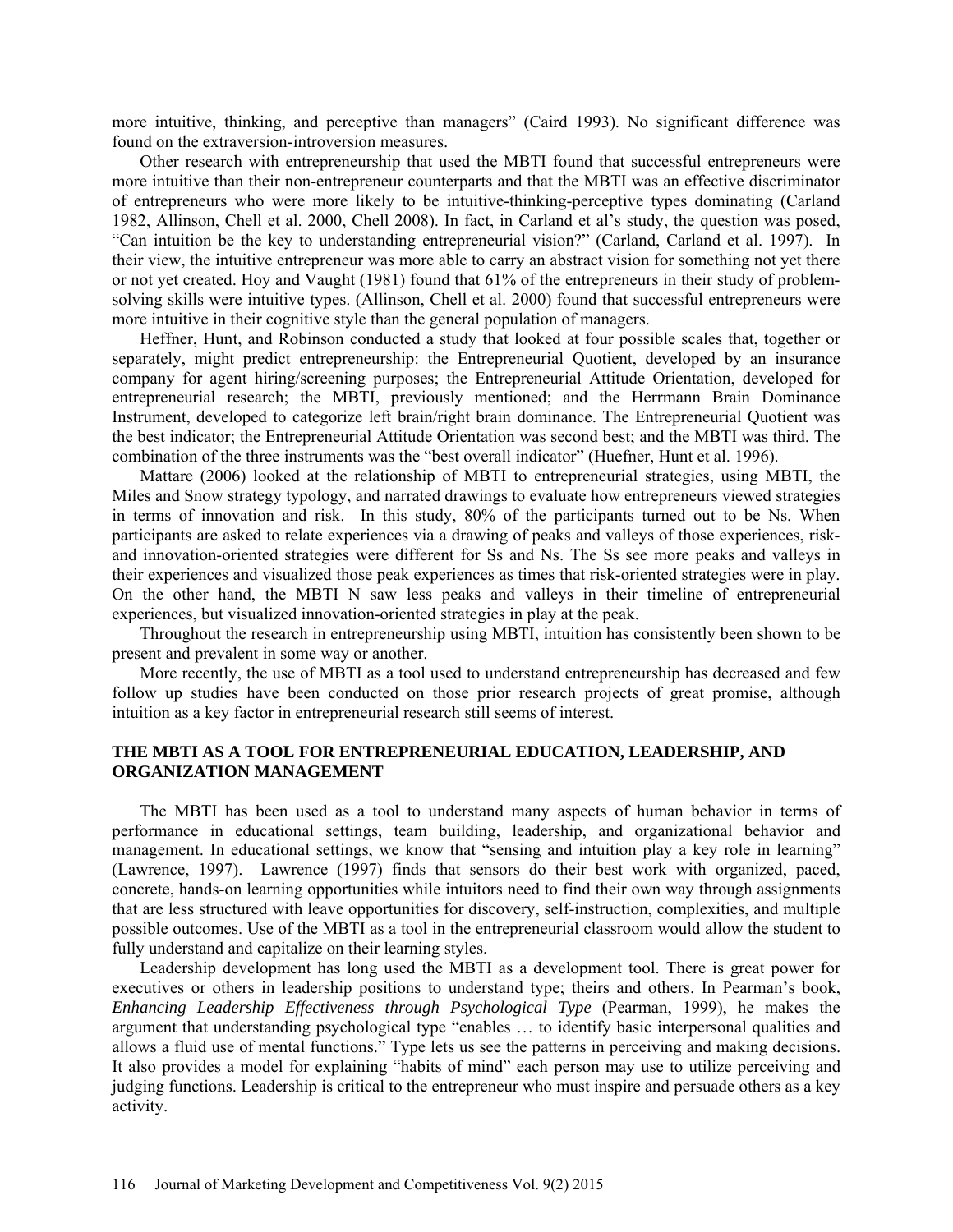more intuitive, thinking, and perceptive than managers" (Caird 1993). No significant difference was found on the extraversion-introversion measures.

Other research with entrepreneurship that used the MBTI found that successful entrepreneurs were more intuitive than their non-entrepreneur counterparts and that the MBTI was an effective discriminator of entrepreneurs who were more likely to be intuitive-thinking-perceptive types dominating (Carland 1982, Allinson, Chell et al. 2000, Chell 2008). In fact, in Carland et al's study, the question was posed, "Can intuition be the key to understanding entrepreneurial vision?" (Carland, Carland et al. 1997). In their view, the intuitive entrepreneur was more able to carry an abstract vision for something not yet there or not yet created. Hoy and Vaught (1981) found that 61% of the entrepreneurs in their study of problemsolving skills were intuitive types. (Allinson, Chell et al. 2000) found that successful entrepreneurs were more intuitive in their cognitive style than the general population of managers.

Heffner, Hunt, and Robinson conducted a study that looked at four possible scales that, together or separately, might predict entrepreneurship: the Entrepreneurial Quotient, developed by an insurance company for agent hiring/screening purposes; the Entrepreneurial Attitude Orientation, developed for entrepreneurial research; the MBTI, previously mentioned; and the Herrmann Brain Dominance Instrument, developed to categorize left brain/right brain dominance. The Entrepreneurial Quotient was the best indicator; the Entrepreneurial Attitude Orientation was second best; and the MBTI was third. The combination of the three instruments was the "best overall indicator" (Huefner, Hunt et al. 1996).

Mattare (2006) looked at the relationship of MBTI to entrepreneurial strategies, using MBTI, the Miles and Snow strategy typology, and narrated drawings to evaluate how entrepreneurs viewed strategies in terms of innovation and risk. In this study, 80% of the participants turned out to be Ns. When participants are asked to relate experiences via a drawing of peaks and valleys of those experiences, riskand innovation-oriented strategies were different for Ss and Ns. The Ss see more peaks and valleys in their experiences and visualized those peak experiences as times that risk-oriented strategies were in play. On the other hand, the MBTI N saw less peaks and valleys in their timeline of entrepreneurial experiences, but visualized innovation-oriented strategies in play at the peak.

Throughout the research in entrepreneurship using MBTI, intuition has consistently been shown to be present and prevalent in some way or another.

More recently, the use of MBTI as a tool used to understand entrepreneurship has decreased and few follow up studies have been conducted on those prior research projects of great promise, although intuition as a key factor in entrepreneurial research still seems of interest.

### **THE MBTI AS A TOOL FOR ENTREPRENEURIAL EDUCATION, LEADERSHIP, AND ORGANIZATION MANAGEMENT**

The MBTI has been used as a tool to understand many aspects of human behavior in terms of performance in educational settings, team building, leadership, and organizational behavior and management. In educational settings, we know that "sensing and intuition play a key role in learning" (Lawrence, 1997). Lawrence (1997) finds that sensors do their best work with organized, paced, concrete, hands-on learning opportunities while intuitors need to find their own way through assignments that are less structured with leave opportunities for discovery, self-instruction, complexities, and multiple possible outcomes. Use of the MBTI as a tool in the entrepreneurial classroom would allow the student to fully understand and capitalize on their learning styles.

Leadership development has long used the MBTI as a development tool. There is great power for executives or others in leadership positions to understand type; theirs and others. In Pearman's book, *Enhancing Leadership Effectiveness through Psychological Type* (Pearman, 1999), he makes the argument that understanding psychological type "enables … to identify basic interpersonal qualities and allows a fluid use of mental functions." Type lets us see the patterns in perceiving and making decisions. It also provides a model for explaining "habits of mind" each person may use to utilize perceiving and judging functions. Leadership is critical to the entrepreneur who must inspire and persuade others as a key activity.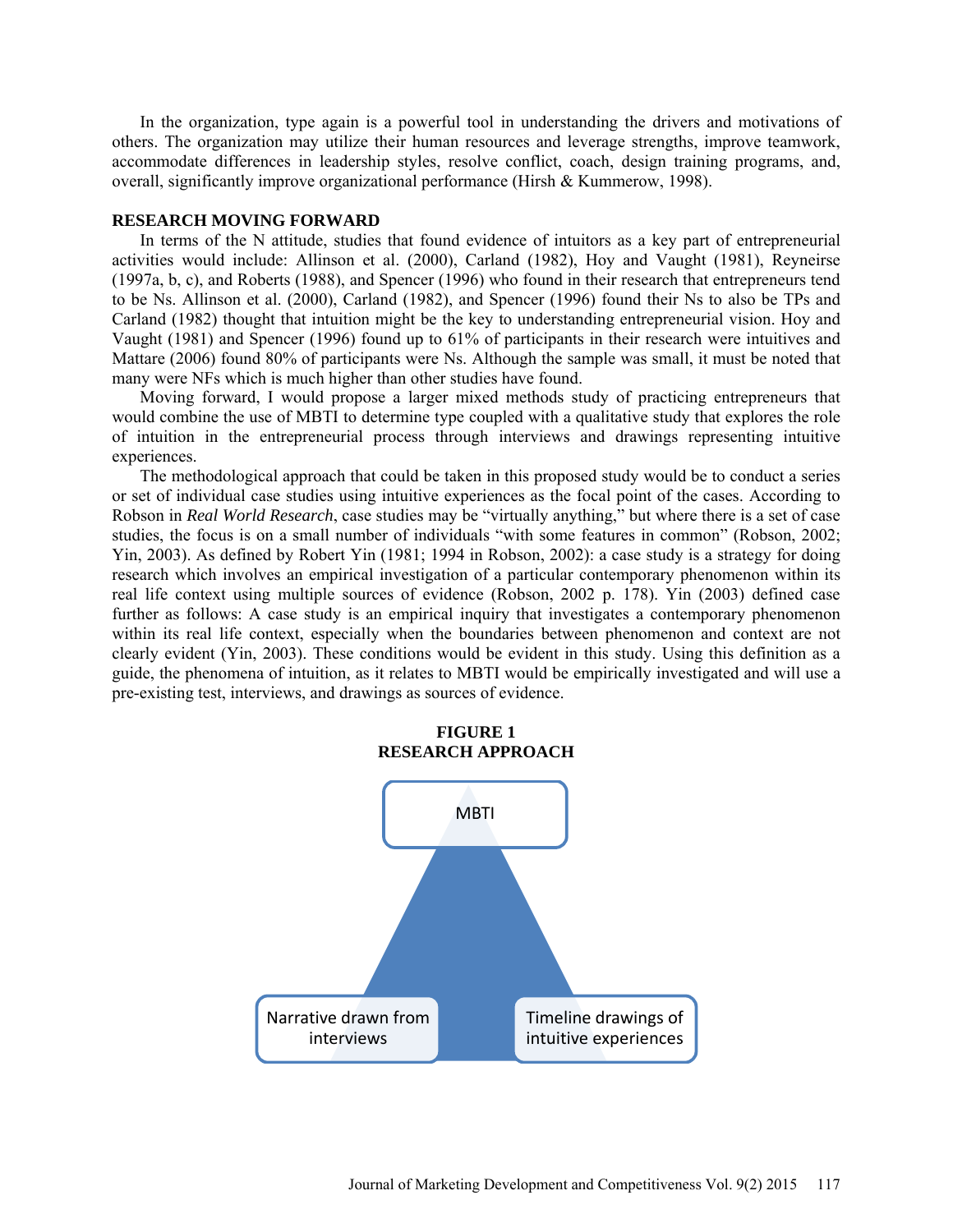In the organization, type again is a powerful tool in understanding the drivers and motivations of others. The organization may utilize their human resources and leverage strengths, improve teamwork, accommodate differences in leadership styles, resolve conflict, coach, design training programs, and, overall, significantly improve organizational performance (Hirsh & Kummerow, 1998).

### **RESEARCH MOVING FORWARD**

In terms of the N attitude, studies that found evidence of intuitors as a key part of entrepreneurial activities would include: Allinson et al. (2000), Carland (1982), Hoy and Vaught (1981), Reyneirse (1997a, b, c), and Roberts (1988), and Spencer (1996) who found in their research that entrepreneurs tend to be Ns. Allinson et al. (2000), Carland (1982), and Spencer (1996) found their Ns to also be TPs and Carland (1982) thought that intuition might be the key to understanding entrepreneurial vision. Hoy and Vaught (1981) and Spencer (1996) found up to 61% of participants in their research were intuitives and Mattare (2006) found 80% of participants were Ns. Although the sample was small, it must be noted that many were NFs which is much higher than other studies have found.

Moving forward, I would propose a larger mixed methods study of practicing entrepreneurs that would combine the use of MBTI to determine type coupled with a qualitative study that explores the role of intuition in the entrepreneurial process through interviews and drawings representing intuitive experiences.

The methodological approach that could be taken in this proposed study would be to conduct a series or set of individual case studies using intuitive experiences as the focal point of the cases. According to Robson in *Real World Research*, case studies may be "virtually anything," but where there is a set of case studies, the focus is on a small number of individuals "with some features in common" (Robson, 2002; Yin, 2003). As defined by Robert Yin (1981; 1994 in Robson, 2002): a case study is a strategy for doing research which involves an empirical investigation of a particular contemporary phenomenon within its real life context using multiple sources of evidence (Robson, 2002 p. 178). Yin (2003) defined case further as follows: A case study is an empirical inquiry that investigates a contemporary phenomenon within its real life context, especially when the boundaries between phenomenon and context are not clearly evident (Yin, 2003). These conditions would be evident in this study. Using this definition as a guide, the phenomena of intuition, as it relates to MBTI would be empirically investigated and will use a pre-existing test, interviews, and drawings as sources of evidence.



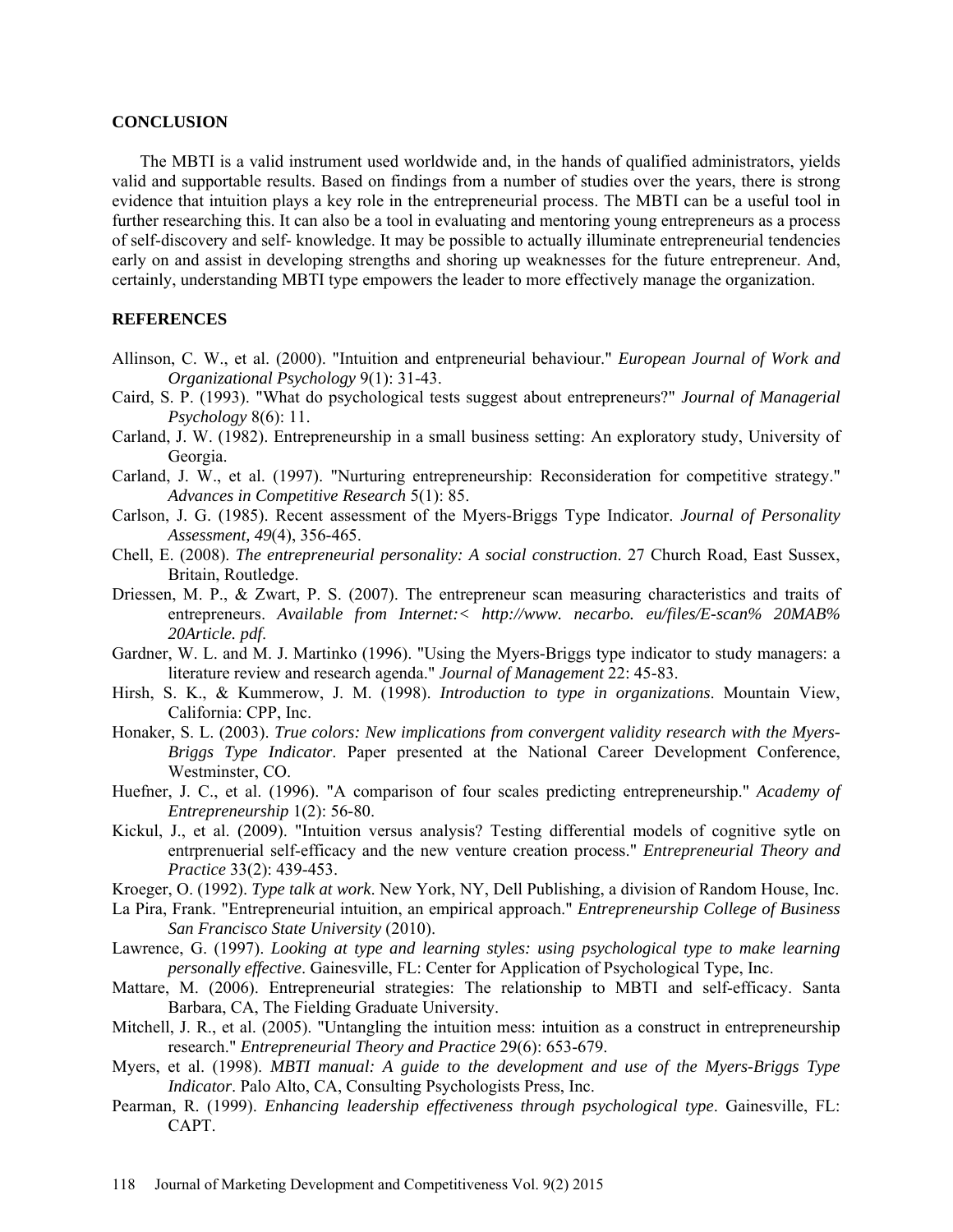#### **CONCLUSION**

The MBTI is a valid instrument used worldwide and, in the hands of qualified administrators, yields valid and supportable results. Based on findings from a number of studies over the years, there is strong evidence that intuition plays a key role in the entrepreneurial process. The MBTI can be a useful tool in further researching this. It can also be a tool in evaluating and mentoring young entrepreneurs as a process of self-discovery and self- knowledge. It may be possible to actually illuminate entrepreneurial tendencies early on and assist in developing strengths and shoring up weaknesses for the future entrepreneur. And, certainly, understanding MBTI type empowers the leader to more effectively manage the organization.

### **REFERENCES**

- Allinson, C. W., et al. (2000). "Intuition and entpreneurial behaviour." *European Journal of Work and Organizational Psychology* 9(1): 31-43.
- Caird, S. P. (1993). "What do psychological tests suggest about entrepreneurs?" *Journal of Managerial Psychology* 8(6): 11.
- Carland, J. W. (1982). Entrepreneurship in a small business setting: An exploratory study, University of Georgia.
- Carland, J. W., et al. (1997). "Nurturing entrepreneurship: Reconsideration for competitive strategy." *Advances in Competitive Research* 5(1): 85.
- Carlson, J. G. (1985). Recent assessment of the Myers-Briggs Type Indicator. *Journal of Personality Assessment, 49*(4), 356-465.
- Chell, E. (2008). *The entrepreneurial personality: A social construction*. 27 Church Road, East Sussex, Britain, Routledge.
- Driessen, M. P., & Zwart, P. S. (2007). The entrepreneur scan measuring characteristics and traits of entrepreneurs. *Available from Internet:< http://www. necarbo. eu/files/E-scan% 20MAB% 20Article. pdf*.
- Gardner, W. L. and M. J. Martinko (1996). "Using the Myers-Briggs type indicator to study managers: a literature review and research agenda." *Journal of Management* 22: 45-83.
- Hirsh, S. K., & Kummerow, J. M. (1998). *Introduction to type in organizations*. Mountain View, California: CPP, Inc.
- Honaker, S. L. (2003). *True colors: New implications from convergent validity research with the Myers-Briggs Type Indicator*. Paper presented at the National Career Development Conference, Westminster, CO.
- Huefner, J. C., et al. (1996). "A comparison of four scales predicting entrepreneurship." *Academy of Entrepreneurship* 1(2): 56-80.
- Kickul, J., et al. (2009). "Intuition versus analysis? Testing differential models of cognitive sytle on entrprenuerial self-efficacy and the new venture creation process." *Entrepreneurial Theory and Practice* 33(2): 439-453.
- Kroeger, O. (1992). *Type talk at work*. New York, NY, Dell Publishing, a division of Random House, Inc.
- La Pira, Frank. "Entrepreneurial intuition, an empirical approach." *Entrepreneurship College of Business San Francisco State University* (2010).
- Lawrence, G. (1997). *Looking at type and learning styles: using psychological type to make learning personally effective*. Gainesville, FL: Center for Application of Psychological Type, Inc.
- Mattare, M. (2006). Entrepreneurial strategies: The relationship to MBTI and self-efficacy. Santa Barbara, CA, The Fielding Graduate University.
- Mitchell, J. R., et al. (2005). "Untangling the intuition mess: intuition as a construct in entrepreneurship research." *Entrepreneurial Theory and Practice* 29(6): 653-679.
- Myers, et al. (1998). *MBTI manual: A guide to the development and use of the Myers-Briggs Type Indicator*. Palo Alto, CA, Consulting Psychologists Press, Inc.
- Pearman, R. (1999). *Enhancing leadership effectiveness through psychological type*. Gainesville, FL: CAPT.